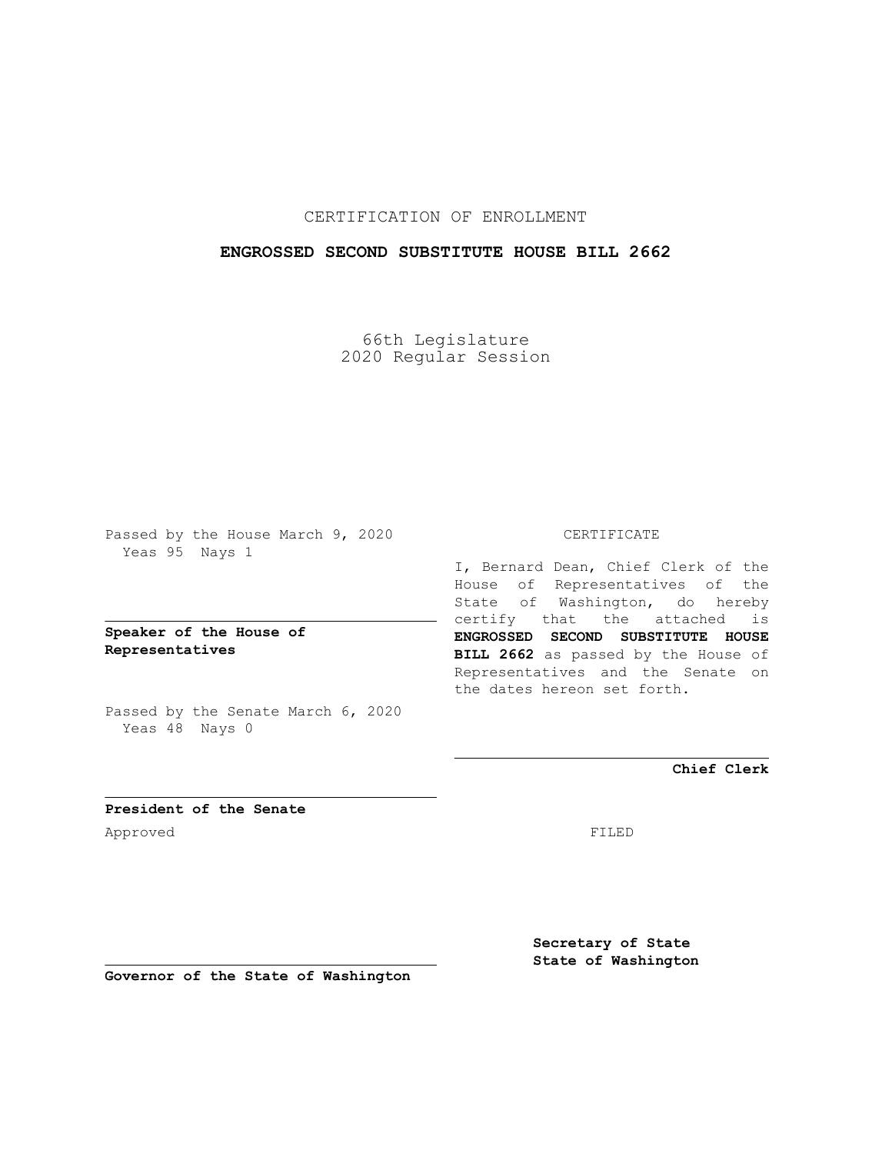## CERTIFICATION OF ENROLLMENT

## **ENGROSSED SECOND SUBSTITUTE HOUSE BILL 2662**

66th Legislature 2020 Regular Session

Passed by the House March 9, 2020 Yeas 95 Nays 1

**Speaker of the House of Representatives**

Passed by the Senate March 6, 2020 Yeas 48 Nays 0

#### CERTIFICATE

I, Bernard Dean, Chief Clerk of the House of Representatives of the State of Washington, do hereby certify that the attached is **ENGROSSED SECOND SUBSTITUTE HOUSE BILL 2662** as passed by the House of Representatives and the Senate on the dates hereon set forth.

**Chief Clerk**

**President of the Senate** Approved FILED

**Secretary of State State of Washington**

**Governor of the State of Washington**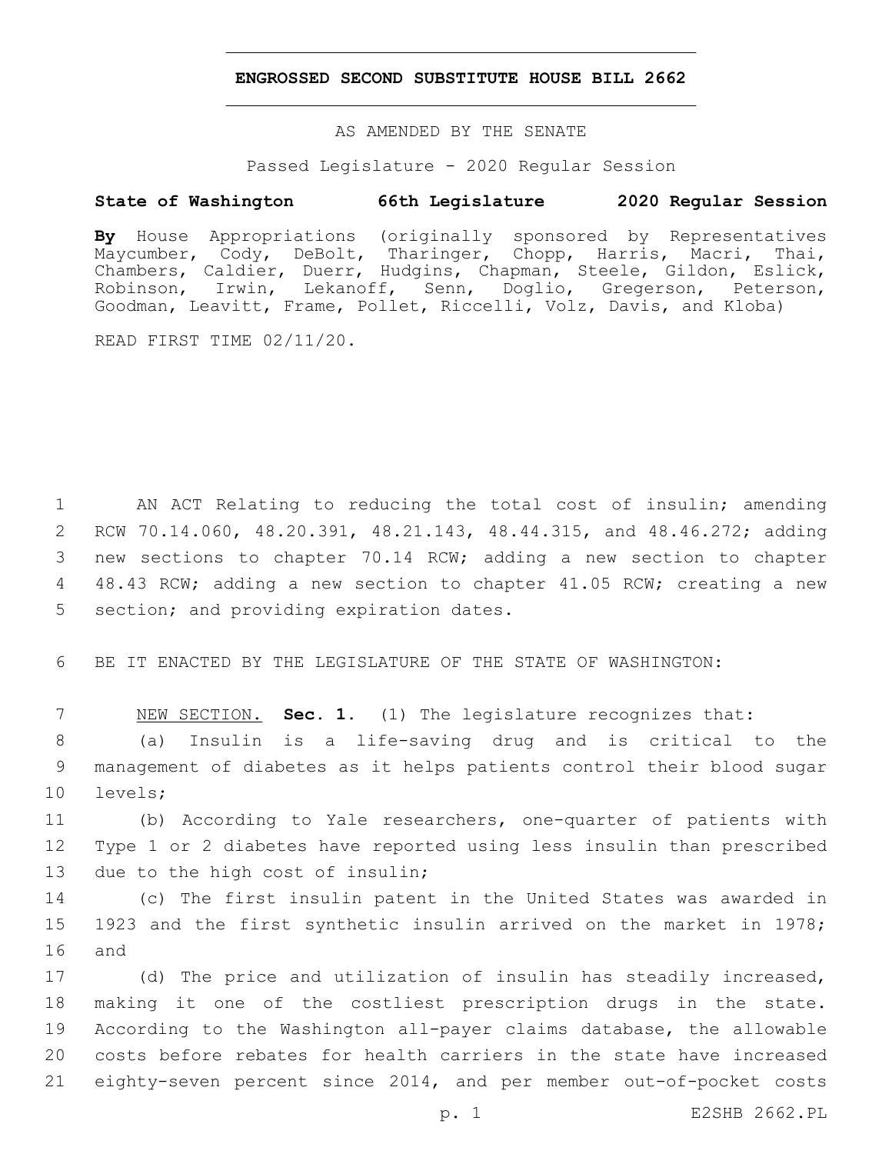### **ENGROSSED SECOND SUBSTITUTE HOUSE BILL 2662**

AS AMENDED BY THE SENATE

Passed Legislature - 2020 Regular Session

# **State of Washington 66th Legislature 2020 Regular Session**

**By** House Appropriations (originally sponsored by Representatives Maycumber, Cody, DeBolt, Tharinger, Chopp, Harris, Macri, Thai, Chambers, Caldier, Duerr, Hudgins, Chapman, Steele, Gildon, Eslick, Robinson, Irwin, Lekanoff, Senn, Doglio, Gregerson, Peterson, Goodman, Leavitt, Frame, Pollet, Riccelli, Volz, Davis, and Kloba)

READ FIRST TIME 02/11/20.

 AN ACT Relating to reducing the total cost of insulin; amending RCW 70.14.060, 48.20.391, 48.21.143, 48.44.315, and 48.46.272; adding new sections to chapter 70.14 RCW; adding a new section to chapter 48.43 RCW; adding a new section to chapter 41.05 RCW; creating a new 5 section; and providing expiration dates.

6 BE IT ENACTED BY THE LEGISLATURE OF THE STATE OF WASHINGTON:

7 NEW SECTION. **Sec. 1.** (1) The legislature recognizes that:

8 (a) Insulin is a life-saving drug and is critical to the 9 management of diabetes as it helps patients control their blood sugar 10 levels;

11 (b) According to Yale researchers, one-quarter of patients with 12 Type 1 or 2 diabetes have reported using less insulin than prescribed 13 due to the high cost of insulin;

14 (c) The first insulin patent in the United States was awarded in 15 1923 and the first synthetic insulin arrived on the market in 1978; 16 and

 (d) The price and utilization of insulin has steadily increased, making it one of the costliest prescription drugs in the state. According to the Washington all-payer claims database, the allowable costs before rebates for health carriers in the state have increased eighty-seven percent since 2014, and per member out-of-pocket costs

p. 1 E2SHB 2662.PL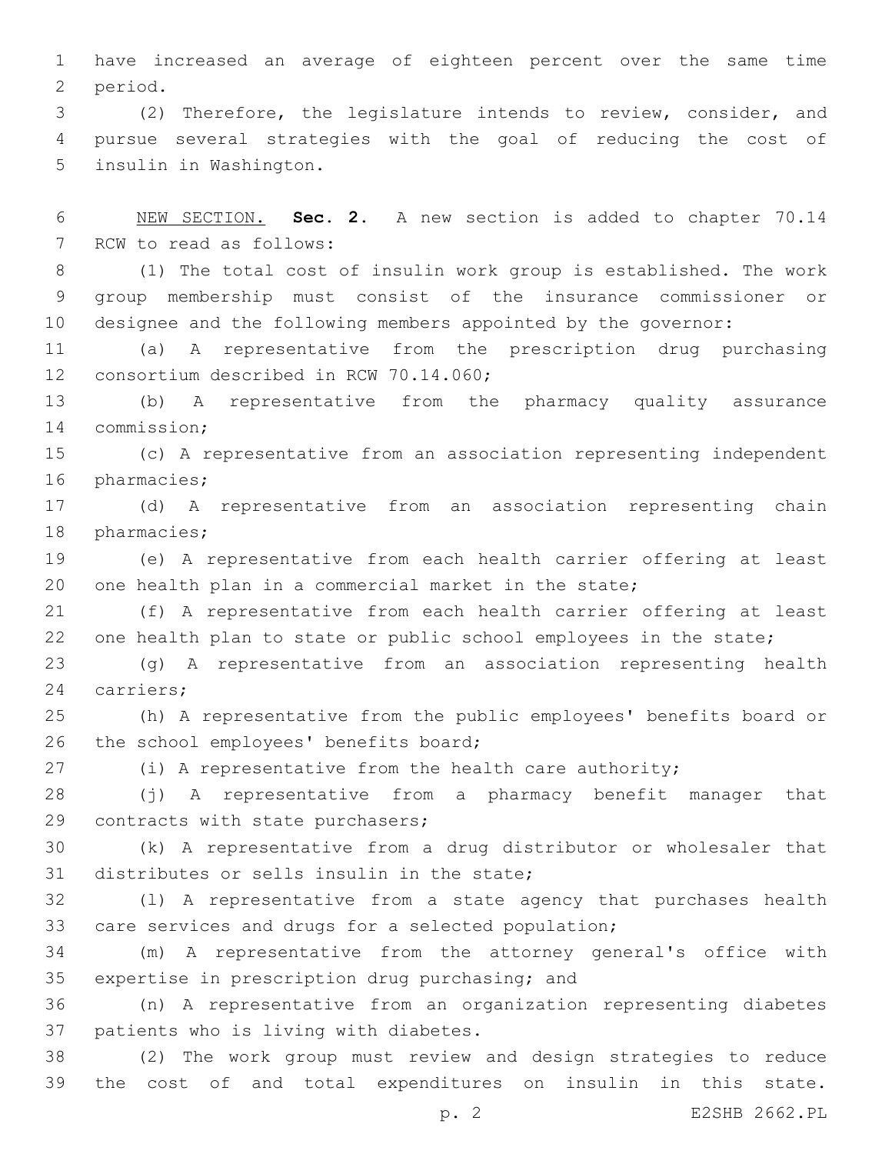1 have increased an average of eighteen percent over the same time 2 period.

3 (2) Therefore, the legislature intends to review, consider, and 4 pursue several strategies with the goal of reducing the cost of 5 insulin in Washington.

6 NEW SECTION. **Sec. 2.** A new section is added to chapter 70.14 7 RCW to read as follows:

8 (1) The total cost of insulin work group is established. The work 9 group membership must consist of the insurance commissioner or 10 designee and the following members appointed by the governor:

11 (a) A representative from the prescription drug purchasing 12 consortium described in RCW 70.14.060;

13 (b) A representative from the pharmacy quality assurance 14 commission;

15 (c) A representative from an association representing independent 16 pharmacies;

17 (d) A representative from an association representing chain 18 pharmacies;

19 (e) A representative from each health carrier offering at least 20 one health plan in a commercial market in the state;

21 (f) A representative from each health carrier offering at least 22 one health plan to state or public school employees in the state;

23 (g) A representative from an association representing health 24 carriers;

25 (h) A representative from the public employees' benefits board or 26 the school employees' benefits board;

27 (i) A representative from the health care authority;

28 (j) A representative from a pharmacy benefit manager that 29 contracts with state purchasers;

30 (k) A representative from a drug distributor or wholesaler that 31 distributes or sells insulin in the state;

32 (l) A representative from a state agency that purchases health 33 care services and drugs for a selected population;

34 (m) A representative from the attorney general's office with 35 expertise in prescription drug purchasing; and

36 (n) A representative from an organization representing diabetes 37 patients who is living with diabetes.

38 (2) The work group must review and design strategies to reduce 39 the cost of and total expenditures on insulin in this state.

p. 2 E2SHB 2662.PL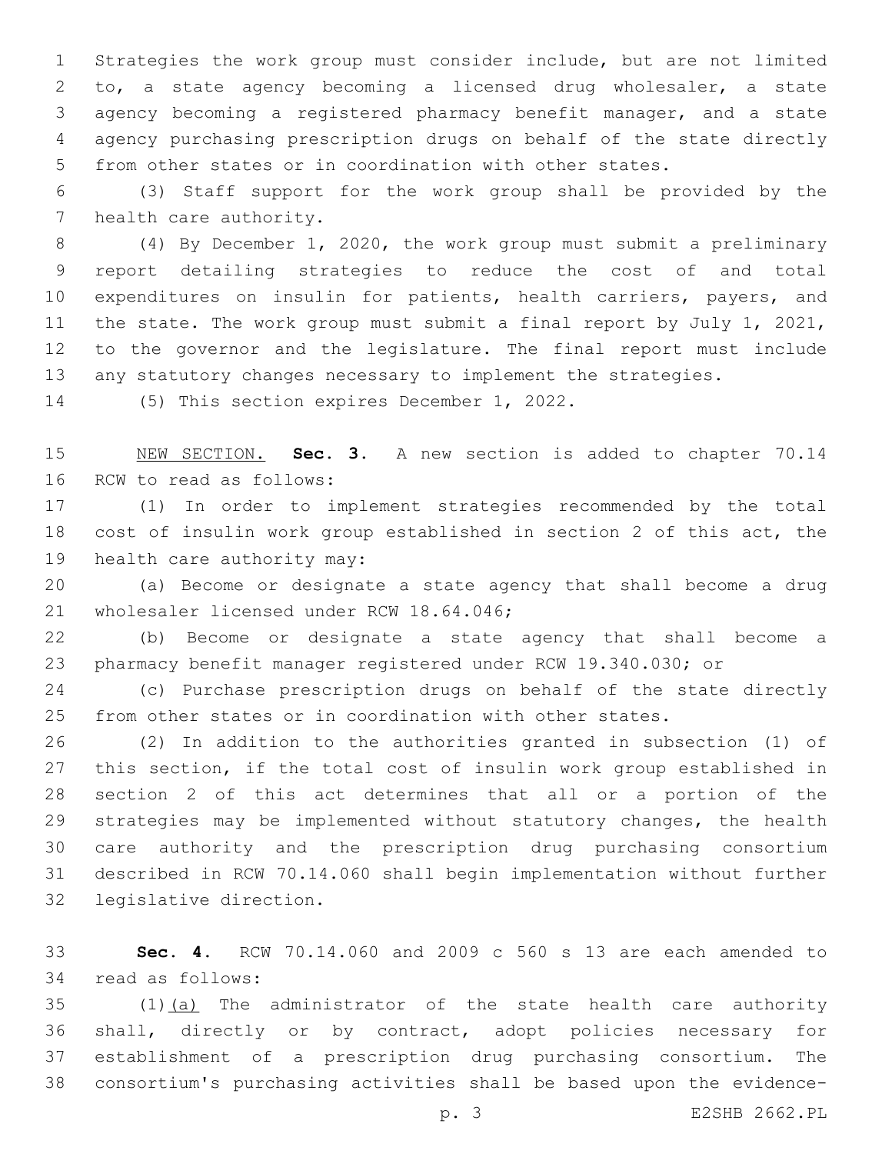Strategies the work group must consider include, but are not limited to, a state agency becoming a licensed drug wholesaler, a state agency becoming a registered pharmacy benefit manager, and a state agency purchasing prescription drugs on behalf of the state directly from other states or in coordination with other states.

 (3) Staff support for the work group shall be provided by the 7 health care authority.

 (4) By December 1, 2020, the work group must submit a preliminary report detailing strategies to reduce the cost of and total 10 expenditures on insulin for patients, health carriers, payers, and the state. The work group must submit a final report by July 1, 2021, to the governor and the legislature. The final report must include any statutory changes necessary to implement the strategies.

14 (5) This section expires December 1, 2022.

 NEW SECTION. **Sec. 3.** A new section is added to chapter 70.14 16 RCW to read as follows:

 (1) In order to implement strategies recommended by the total cost of insulin work group established in section 2 of this act, the 19 health care authority may:

 (a) Become or designate a state agency that shall become a drug 21 wholesaler licensed under RCW 18.64.046;

 (b) Become or designate a state agency that shall become a pharmacy benefit manager registered under RCW 19.340.030; or

 (c) Purchase prescription drugs on behalf of the state directly from other states or in coordination with other states.

 (2) In addition to the authorities granted in subsection (1) of this section, if the total cost of insulin work group established in section 2 of this act determines that all or a portion of the strategies may be implemented without statutory changes, the health care authority and the prescription drug purchasing consortium described in RCW 70.14.060 shall begin implementation without further 32 legislative direction.

 **Sec. 4.** RCW 70.14.060 and 2009 c 560 s 13 are each amended to 34 read as follows:

 (1)(a) The administrator of the state health care authority shall, directly or by contract, adopt policies necessary for establishment of a prescription drug purchasing consortium. The consortium's purchasing activities shall be based upon the evidence-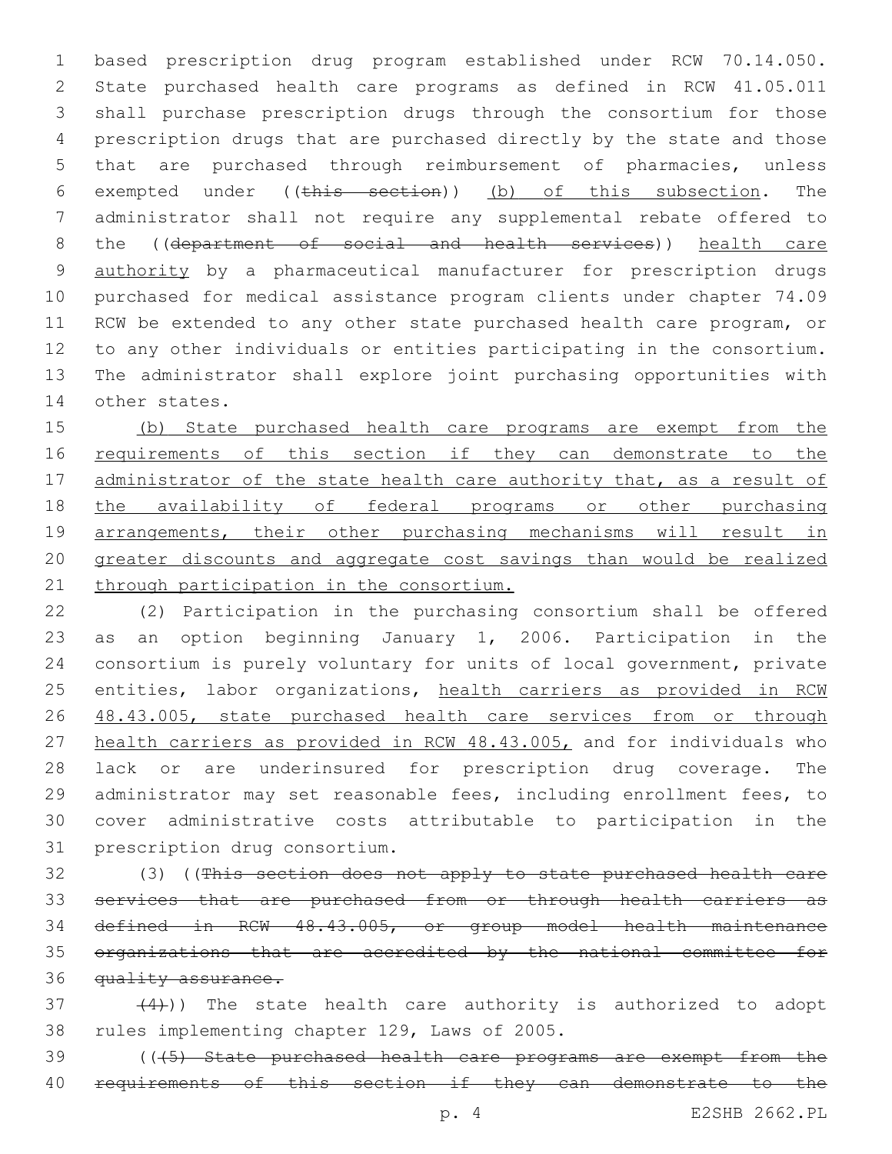based prescription drug program established under RCW 70.14.050. State purchased health care programs as defined in RCW 41.05.011 shall purchase prescription drugs through the consortium for those prescription drugs that are purchased directly by the state and those that are purchased through reimbursement of pharmacies, unless exempted under ((this section)) (b) of this subsection. The administrator shall not require any supplemental rebate offered to 8 the ((department of social and health services)) health care authority by a pharmaceutical manufacturer for prescription drugs purchased for medical assistance program clients under chapter 74.09 RCW be extended to any other state purchased health care program, or to any other individuals or entities participating in the consortium. The administrator shall explore joint purchasing opportunities with 14 other states.

 (b) State purchased health care programs are exempt from the 16 requirements of this section if they can demonstrate to the 17 administrator of the state health care authority that, as a result of 18 the availability of federal programs or other purchasing arrangements, their other purchasing mechanisms will result in greater discounts and aggregate cost savings than would be realized 21 through participation in the consortium.

 (2) Participation in the purchasing consortium shall be offered as an option beginning January 1, 2006. Participation in the consortium is purely voluntary for units of local government, private 25 entities, labor organizations, health carriers as provided in RCW 26 48.43.005, state purchased health care services from or through health carriers as provided in RCW 48.43.005, and for individuals who lack or are underinsured for prescription drug coverage. The administrator may set reasonable fees, including enrollment fees, to cover administrative costs attributable to participation in the 31 prescription drug consortium.

 (3) ((This section does not apply to state purchased health care services that are purchased from or through health carriers as defined in RCW 48.43.005, or group model health maintenance organizations that are accredited by the national committee for 36 quality assurance.

 $(4)$ )) The state health care authority is authorized to adopt 38 rules implementing chapter 129, Laws of 2005.

 (((5) State purchased health care programs are exempt from the 40 requirements of this section if they can demonstrate to the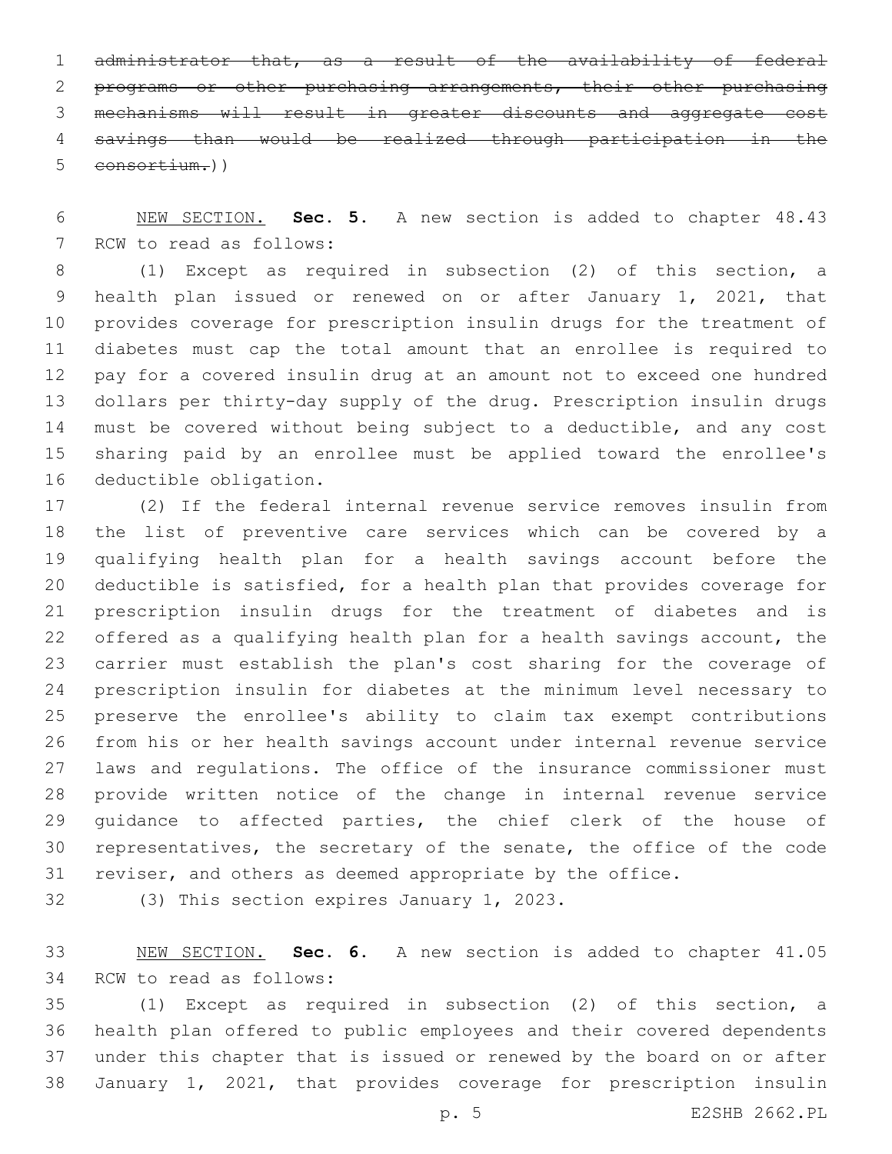administrator that, as a result of the availability of federal programs or other purchasing arrangements, their other purchasing mechanisms will result in greater discounts and aggregate cost savings than would be realized through participation in the consortium.))

 NEW SECTION. **Sec. 5.** A new section is added to chapter 48.43 7 RCW to read as follows:

 (1) Except as required in subsection (2) of this section, a health plan issued or renewed on or after January 1, 2021, that provides coverage for prescription insulin drugs for the treatment of diabetes must cap the total amount that an enrollee is required to pay for a covered insulin drug at an amount not to exceed one hundred dollars per thirty-day supply of the drug. Prescription insulin drugs must be covered without being subject to a deductible, and any cost sharing paid by an enrollee must be applied toward the enrollee's 16 deductible obligation.

 (2) If the federal internal revenue service removes insulin from the list of preventive care services which can be covered by a qualifying health plan for a health savings account before the deductible is satisfied, for a health plan that provides coverage for prescription insulin drugs for the treatment of diabetes and is offered as a qualifying health plan for a health savings account, the carrier must establish the plan's cost sharing for the coverage of prescription insulin for diabetes at the minimum level necessary to preserve the enrollee's ability to claim tax exempt contributions from his or her health savings account under internal revenue service laws and regulations. The office of the insurance commissioner must provide written notice of the change in internal revenue service guidance to affected parties, the chief clerk of the house of representatives, the secretary of the senate, the office of the code reviser, and others as deemed appropriate by the office.

32 (3) This section expires January 1, 2023.

 NEW SECTION. **Sec. 6.** A new section is added to chapter 41.05 34 RCW to read as follows:

 (1) Except as required in subsection (2) of this section, a health plan offered to public employees and their covered dependents under this chapter that is issued or renewed by the board on or after January 1, 2021, that provides coverage for prescription insulin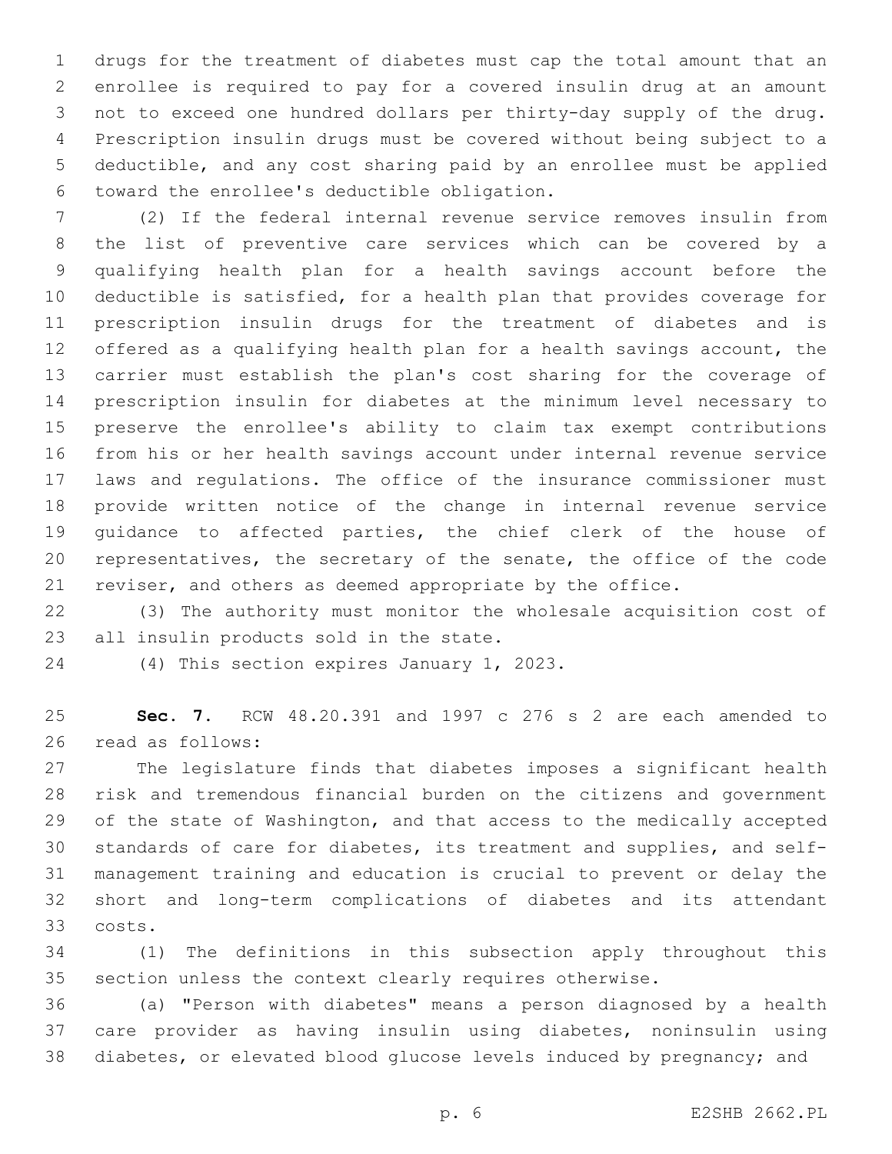drugs for the treatment of diabetes must cap the total amount that an enrollee is required to pay for a covered insulin drug at an amount not to exceed one hundred dollars per thirty-day supply of the drug. Prescription insulin drugs must be covered without being subject to a deductible, and any cost sharing paid by an enrollee must be applied toward the enrollee's deductible obligation.6

 (2) If the federal internal revenue service removes insulin from the list of preventive care services which can be covered by a qualifying health plan for a health savings account before the deductible is satisfied, for a health plan that provides coverage for prescription insulin drugs for the treatment of diabetes and is offered as a qualifying health plan for a health savings account, the carrier must establish the plan's cost sharing for the coverage of prescription insulin for diabetes at the minimum level necessary to preserve the enrollee's ability to claim tax exempt contributions from his or her health savings account under internal revenue service laws and regulations. The office of the insurance commissioner must provide written notice of the change in internal revenue service guidance to affected parties, the chief clerk of the house of representatives, the secretary of the senate, the office of the code reviser, and others as deemed appropriate by the office.

 (3) The authority must monitor the wholesale acquisition cost of 23 all insulin products sold in the state.

24 (4) This section expires January 1, 2023.

 **Sec. 7.** RCW 48.20.391 and 1997 c 276 s 2 are each amended to 26 read as follows:

 The legislature finds that diabetes imposes a significant health risk and tremendous financial burden on the citizens and government of the state of Washington, and that access to the medically accepted standards of care for diabetes, its treatment and supplies, and self- management training and education is crucial to prevent or delay the short and long-term complications of diabetes and its attendant costs.33

 (1) The definitions in this subsection apply throughout this section unless the context clearly requires otherwise.

 (a) "Person with diabetes" means a person diagnosed by a health care provider as having insulin using diabetes, noninsulin using diabetes, or elevated blood glucose levels induced by pregnancy; and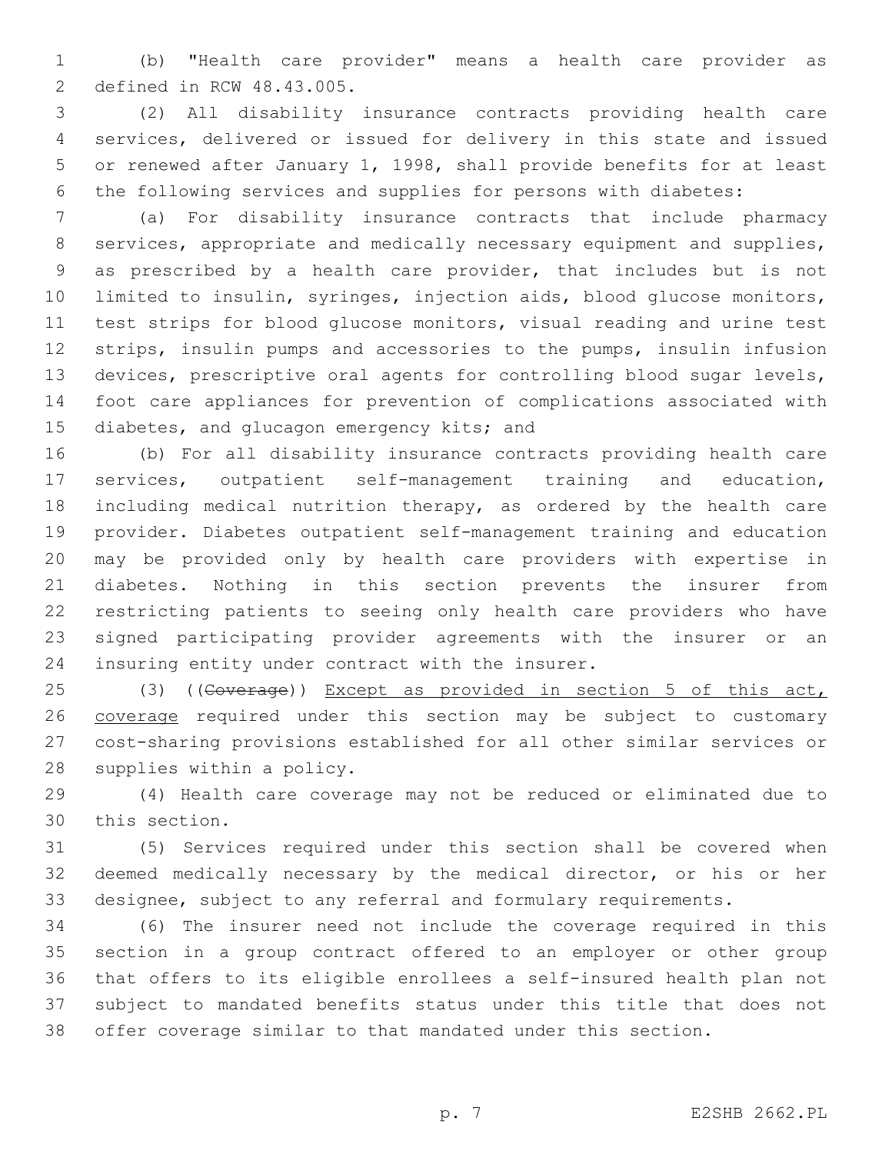(b) "Health care provider" means a health care provider as 2 defined in RCW 48.43.005.

 (2) All disability insurance contracts providing health care services, delivered or issued for delivery in this state and issued or renewed after January 1, 1998, shall provide benefits for at least the following services and supplies for persons with diabetes:

 (a) For disability insurance contracts that include pharmacy services, appropriate and medically necessary equipment and supplies, as prescribed by a health care provider, that includes but is not limited to insulin, syringes, injection aids, blood glucose monitors, test strips for blood glucose monitors, visual reading and urine test strips, insulin pumps and accessories to the pumps, insulin infusion devices, prescriptive oral agents for controlling blood sugar levels, foot care appliances for prevention of complications associated with 15 diabetes, and glucagon emergency kits; and

 (b) For all disability insurance contracts providing health care services, outpatient self-management training and education, including medical nutrition therapy, as ordered by the health care provider. Diabetes outpatient self-management training and education may be provided only by health care providers with expertise in diabetes. Nothing in this section prevents the insurer from restricting patients to seeing only health care providers who have signed participating provider agreements with the insurer or an 24 insuring entity under contract with the insurer.

25 (3) ((Goverage)) Except as provided in section 5 of this act, coverage required under this section may be subject to customary cost-sharing provisions established for all other similar services or 28 supplies within a policy.

 (4) Health care coverage may not be reduced or eliminated due to 30 this section.

 (5) Services required under this section shall be covered when deemed medically necessary by the medical director, or his or her designee, subject to any referral and formulary requirements.

 (6) The insurer need not include the coverage required in this section in a group contract offered to an employer or other group that offers to its eligible enrollees a self-insured health plan not subject to mandated benefits status under this title that does not offer coverage similar to that mandated under this section.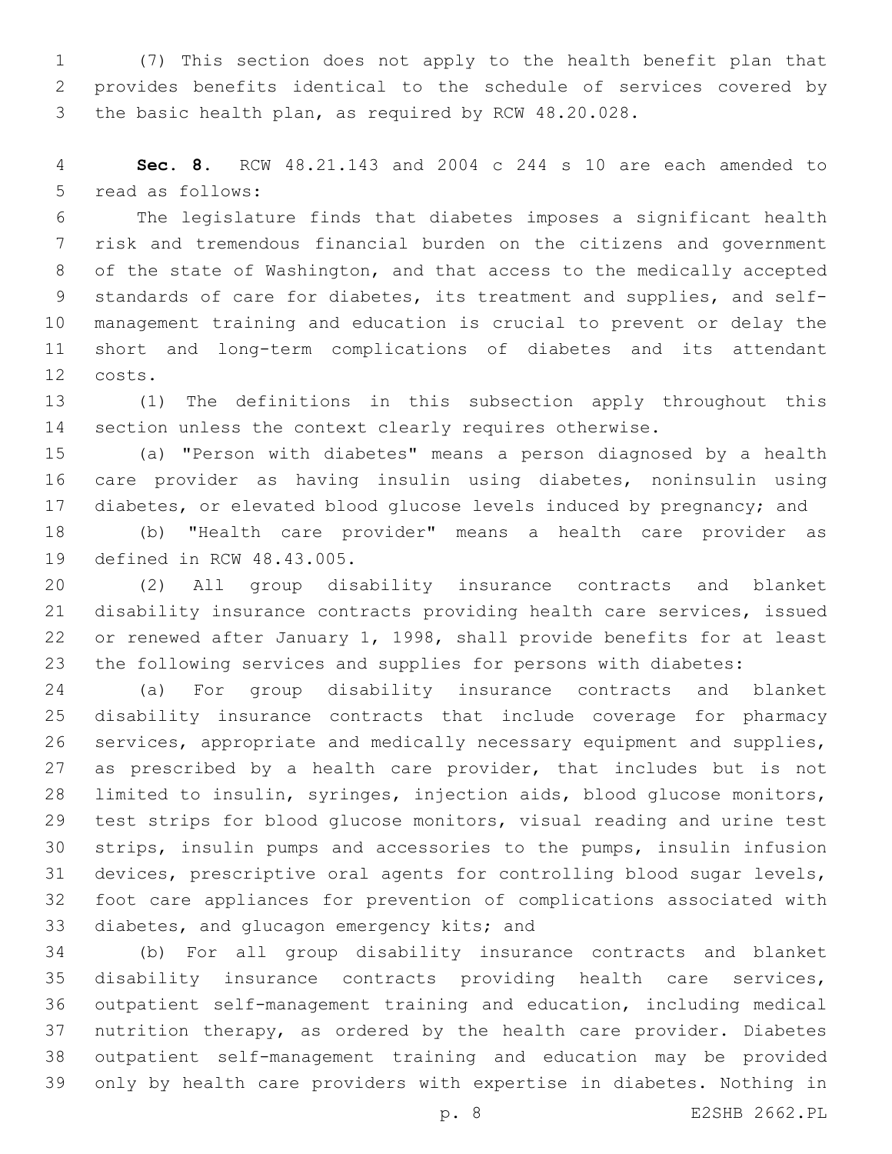(7) This section does not apply to the health benefit plan that provides benefits identical to the schedule of services covered by the basic health plan, as required by RCW 48.20.028.

 **Sec. 8.** RCW 48.21.143 and 2004 c 244 s 10 are each amended to 5 read as follows:

 The legislature finds that diabetes imposes a significant health risk and tremendous financial burden on the citizens and government of the state of Washington, and that access to the medically accepted standards of care for diabetes, its treatment and supplies, and self- management training and education is crucial to prevent or delay the short and long-term complications of diabetes and its attendant costs.12

 (1) The definitions in this subsection apply throughout this section unless the context clearly requires otherwise.

 (a) "Person with diabetes" means a person diagnosed by a health care provider as having insulin using diabetes, noninsulin using diabetes, or elevated blood glucose levels induced by pregnancy; and

 (b) "Health care provider" means a health care provider as 19 defined in RCW 48.43.005.

 (2) All group disability insurance contracts and blanket disability insurance contracts providing health care services, issued or renewed after January 1, 1998, shall provide benefits for at least the following services and supplies for persons with diabetes:

 (a) For group disability insurance contracts and blanket disability insurance contracts that include coverage for pharmacy services, appropriate and medically necessary equipment and supplies, 27 as prescribed by a health care provider, that includes but is not limited to insulin, syringes, injection aids, blood glucose monitors, test strips for blood glucose monitors, visual reading and urine test strips, insulin pumps and accessories to the pumps, insulin infusion devices, prescriptive oral agents for controlling blood sugar levels, foot care appliances for prevention of complications associated with 33 diabetes, and glucagon emergency kits; and

 (b) For all group disability insurance contracts and blanket disability insurance contracts providing health care services, outpatient self-management training and education, including medical nutrition therapy, as ordered by the health care provider. Diabetes outpatient self-management training and education may be provided only by health care providers with expertise in diabetes. Nothing in

p. 8 E2SHB 2662.PL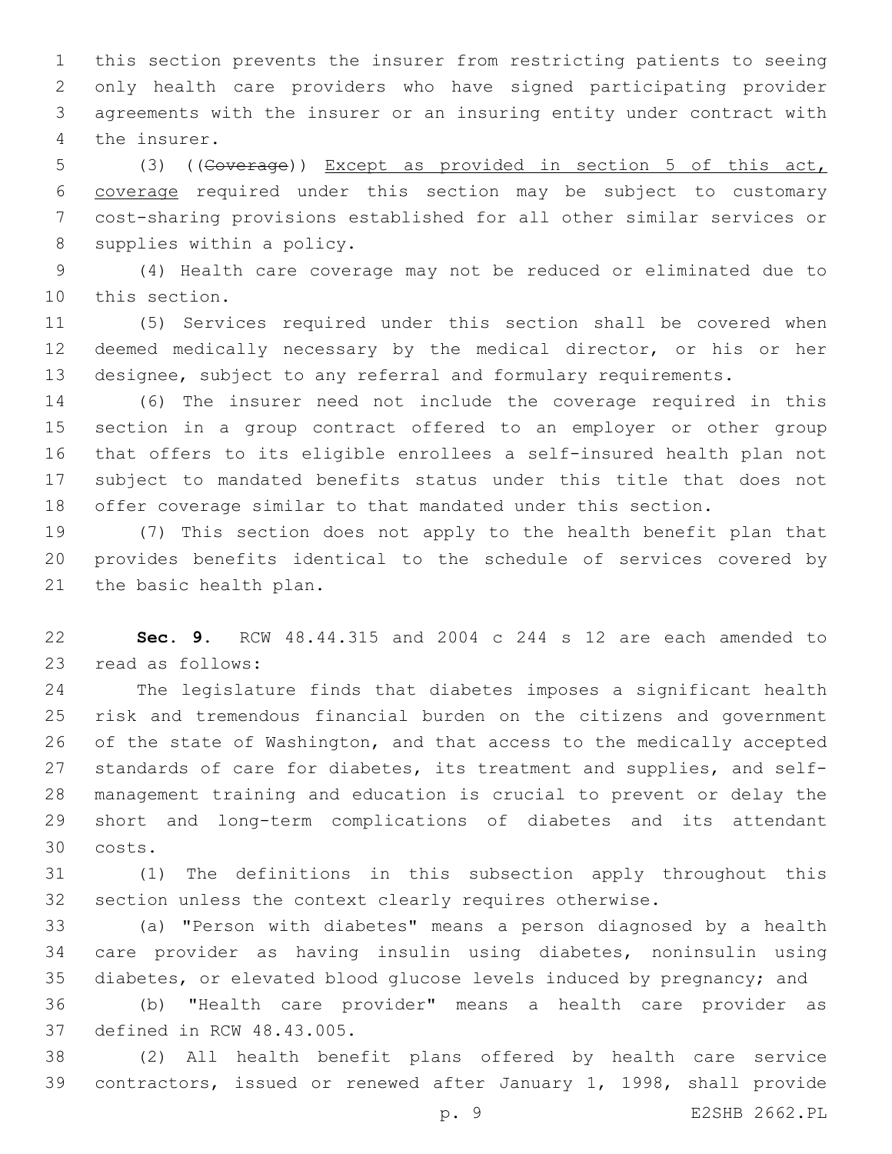this section prevents the insurer from restricting patients to seeing only health care providers who have signed participating provider agreements with the insurer or an insuring entity under contract with 4 the insurer.

 (3) ((Coverage)) Except as provided in section 5 of this act, coverage required under this section may be subject to customary cost-sharing provisions established for all other similar services or 8 supplies within a policy.

 (4) Health care coverage may not be reduced or eliminated due to 10 this section.

 (5) Services required under this section shall be covered when deemed medically necessary by the medical director, or his or her designee, subject to any referral and formulary requirements.

 (6) The insurer need not include the coverage required in this section in a group contract offered to an employer or other group that offers to its eligible enrollees a self-insured health plan not subject to mandated benefits status under this title that does not offer coverage similar to that mandated under this section.

 (7) This section does not apply to the health benefit plan that provides benefits identical to the schedule of services covered by 21 the basic health plan.

 **Sec. 9.** RCW 48.44.315 and 2004 c 244 s 12 are each amended to 23 read as follows:

 The legislature finds that diabetes imposes a significant health risk and tremendous financial burden on the citizens and government of the state of Washington, and that access to the medically accepted standards of care for diabetes, its treatment and supplies, and self- management training and education is crucial to prevent or delay the short and long-term complications of diabetes and its attendant costs.30

 (1) The definitions in this subsection apply throughout this section unless the context clearly requires otherwise.

 (a) "Person with diabetes" means a person diagnosed by a health care provider as having insulin using diabetes, noninsulin using diabetes, or elevated blood glucose levels induced by pregnancy; and

 (b) "Health care provider" means a health care provider as 37 defined in RCW 48.43.005.

 (2) All health benefit plans offered by health care service contractors, issued or renewed after January 1, 1998, shall provide

p. 9 E2SHB 2662.PL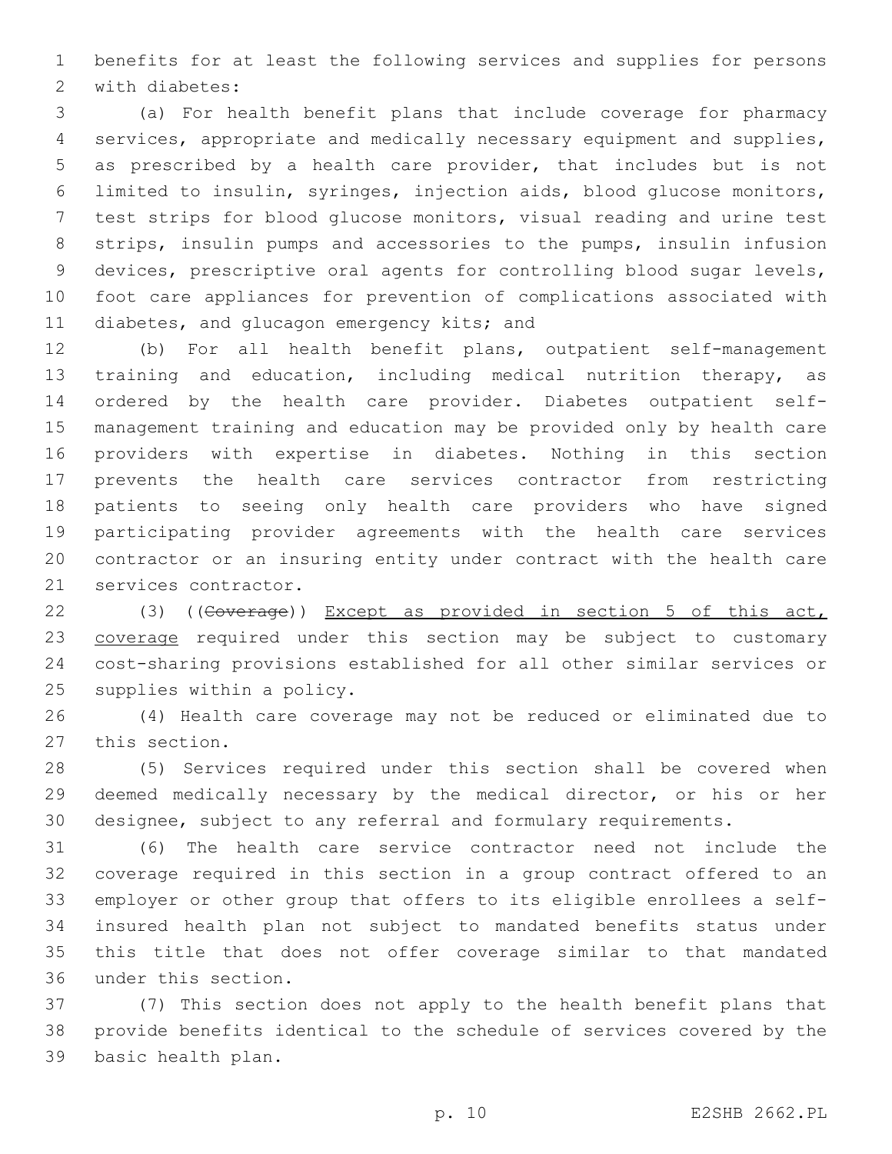benefits for at least the following services and supplies for persons 2 with diabetes:

 (a) For health benefit plans that include coverage for pharmacy services, appropriate and medically necessary equipment and supplies, as prescribed by a health care provider, that includes but is not limited to insulin, syringes, injection aids, blood glucose monitors, test strips for blood glucose monitors, visual reading and urine test strips, insulin pumps and accessories to the pumps, insulin infusion devices, prescriptive oral agents for controlling blood sugar levels, foot care appliances for prevention of complications associated with 11 diabetes, and glucagon emergency kits; and

 (b) For all health benefit plans, outpatient self-management training and education, including medical nutrition therapy, as ordered by the health care provider. Diabetes outpatient self- management training and education may be provided only by health care providers with expertise in diabetes. Nothing in this section prevents the health care services contractor from restricting patients to seeing only health care providers who have signed participating provider agreements with the health care services contractor or an insuring entity under contract with the health care 21 services contractor.

 (3) ((Coverage)) Except as provided in section 5 of this act, 23 coverage required under this section may be subject to customary cost-sharing provisions established for all other similar services or 25 supplies within a policy.

 (4) Health care coverage may not be reduced or eliminated due to 27 this section.

 (5) Services required under this section shall be covered when deemed medically necessary by the medical director, or his or her designee, subject to any referral and formulary requirements.

 (6) The health care service contractor need not include the coverage required in this section in a group contract offered to an employer or other group that offers to its eligible enrollees a self- insured health plan not subject to mandated benefits status under this title that does not offer coverage similar to that mandated 36 under this section.

 (7) This section does not apply to the health benefit plans that provide benefits identical to the schedule of services covered by the 39 basic health plan.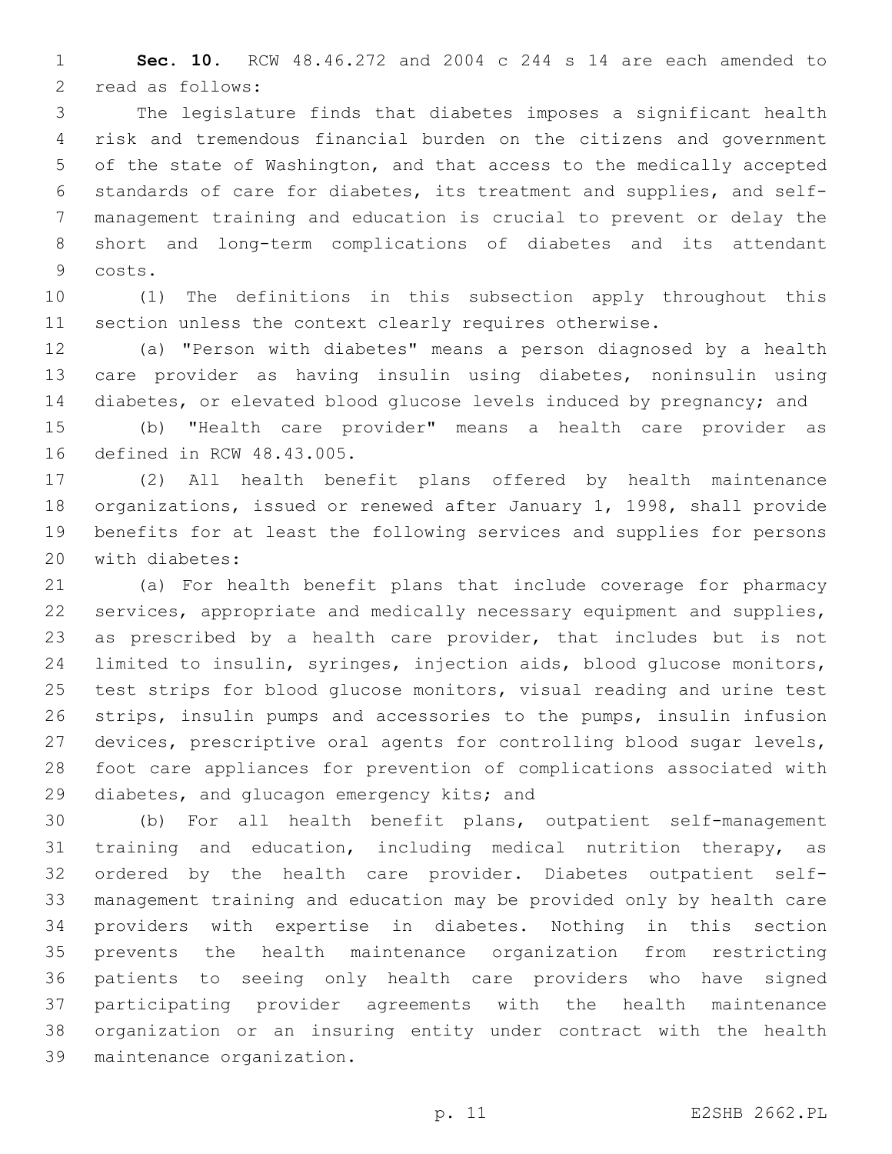**Sec. 10.** RCW 48.46.272 and 2004 c 244 s 14 are each amended to 2 read as follows:

 The legislature finds that diabetes imposes a significant health risk and tremendous financial burden on the citizens and government of the state of Washington, and that access to the medically accepted standards of care for diabetes, its treatment and supplies, and self- management training and education is crucial to prevent or delay the short and long-term complications of diabetes and its attendant 9 costs.

 (1) The definitions in this subsection apply throughout this section unless the context clearly requires otherwise.

 (a) "Person with diabetes" means a person diagnosed by a health care provider as having insulin using diabetes, noninsulin using diabetes, or elevated blood glucose levels induced by pregnancy; and

 (b) "Health care provider" means a health care provider as 16 defined in RCW 48.43.005.

 (2) All health benefit plans offered by health maintenance organizations, issued or renewed after January 1, 1998, shall provide benefits for at least the following services and supplies for persons 20 with diabetes:

 (a) For health benefit plans that include coverage for pharmacy services, appropriate and medically necessary equipment and supplies, as prescribed by a health care provider, that includes but is not limited to insulin, syringes, injection aids, blood glucose monitors, test strips for blood glucose monitors, visual reading and urine test strips, insulin pumps and accessories to the pumps, insulin infusion devices, prescriptive oral agents for controlling blood sugar levels, foot care appliances for prevention of complications associated with 29 diabetes, and glucagon emergency kits; and

 (b) For all health benefit plans, outpatient self-management training and education, including medical nutrition therapy, as ordered by the health care provider. Diabetes outpatient self- management training and education may be provided only by health care providers with expertise in diabetes. Nothing in this section prevents the health maintenance organization from restricting patients to seeing only health care providers who have signed participating provider agreements with the health maintenance organization or an insuring entity under contract with the health 39 maintenance organization.